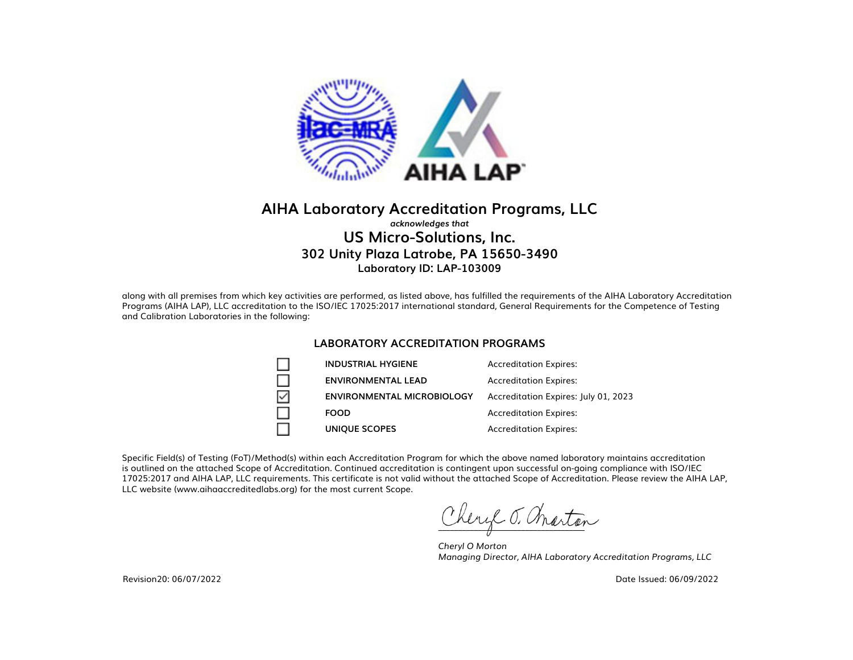

### **AIHA Laboratory Accreditation Programs, LLC** *acknowledges that* **US Micro-Solutions, Inc. 302 Unity Plaza Latrobe, PA 15650-3490 Laboratory ID: LAP-103009**

along with all premises from which key activities are performed, as listed above, has fulfilled the requirements of the AIHA Laboratory Accreditation Programs (AIHA LAP), LLC accreditation to the ISO/IEC 17025:2017 international standard, General Requirements for the Competence of Testing and Calibration Laboratories in the following:

#### **LABORATORY ACCREDITATION PROGRAMS**

| <b>INDUSTRIAL HYGIENE</b>         | <b>Accreditation Expires:</b>        |
|-----------------------------------|--------------------------------------|
| <b>ENVIRONMENTAL LEAD</b>         | <b>Accreditation Expires:</b>        |
| <b>ENVIRONMENTAL MICROBIOLOGY</b> | Accreditation Expires: July 01, 2023 |
| <b>FOOD</b>                       | <b>Accreditation Expires:</b>        |
| <b>UNIQUE SCOPES</b>              | <b>Accreditation Expires:</b>        |

Specific Field(s) of Testing (FoT)/Method(s) within each Accreditation Program for which the above named laboratory maintains accreditation is outlined on the attached Scope of Accreditation. Continued accreditation is contingent upon successful on-going compliance with ISO/IEC 17025:2017 and AIHA LAP, LLC requirements. This certificate is not valid without the attached Scope of Accreditation. Please review the AIHA LAP, LLC website (www.aihaaccreditedlabs.org) for the most current Scope.

Leryl J. Marton

*Cheryl O Morton Managing Director, AIHA Laboratory Accreditation Programs, LLC*

Date Issued: 06/09/2022

Revision20: 06/07/2022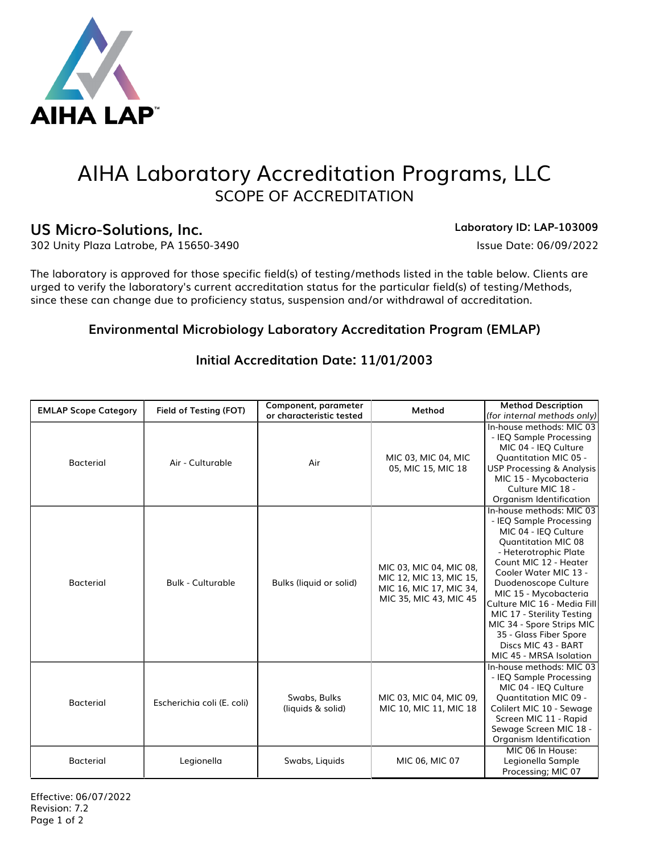

# AIHA Laboratory Accreditation Programs, LLC SCOPE OF ACCREDITATION

# US Micro-Solutions, Inc. **Laboratory ID: LAP-103009**

302 Unity Plaza Latrobe, PA 15650-3490 Issue Date: 06/09/2022

The laboratory is approved for those specific field(s) of testing/methods listed in the table below. Clients are urged to verify the laboratory's current accreditation status for the particular field(s) of testing/Methods, since these can change due to proficiency status, suspension and/or withdrawal of accreditation.

# **Environmental Microbiology Laboratory Accreditation Program (EMLAP)**

| <b>EMLAP Scope Category</b> | Field of Testing (FOT)     | Component, parameter<br>or characteristic tested | Method                                                                                                  | <b>Method Description</b><br>(for internal methods only)                                                                                                                                                                                                                                                                                                                                                    |
|-----------------------------|----------------------------|--------------------------------------------------|---------------------------------------------------------------------------------------------------------|-------------------------------------------------------------------------------------------------------------------------------------------------------------------------------------------------------------------------------------------------------------------------------------------------------------------------------------------------------------------------------------------------------------|
| <b>Bacterial</b>            | Air - Culturable           | Air                                              | MIC 03, MIC 04, MIC<br>05, MIC 15, MIC 18                                                               | In-house methods: MIC 03<br>- IEQ Sample Processing<br>MIC 04 - IEQ Culture<br><b>Quantitation MIC 05 -</b><br><b>USP Processing &amp; Analysis</b><br>MIC 15 - Mycobacteria<br>Culture MIC 18 -<br>Organism Identification                                                                                                                                                                                 |
| <b>Bacterial</b>            | <b>Bulk - Culturable</b>   | Bulks (liquid or solid)                          | MIC 03, MIC 04, MIC 08,<br>MIC 12, MIC 13, MIC 15,<br>MIC 16, MIC 17, MIC 34,<br>MIC 35, MIC 43, MIC 45 | In-house methods: MIC 03<br>- IEQ Sample Processing<br>MIC 04 - IEQ Culture<br><b>Quantitation MIC 08</b><br>- Heterotrophic Plate<br>Count MIC 12 - Heater<br>Cooler Water MIC 13 -<br>Duodenoscope Culture<br>MIC 15 - Mycobacteria<br>Culture MIC 16 - Media Fill<br>MIC 17 - Sterility Testing<br>MIC 34 - Spore Strips MIC<br>35 - Glass Fiber Spore<br>Discs MIC 43 - BART<br>MIC 45 - MRSA Isolation |
| <b>Bacterial</b>            | Escherichia coli (E. coli) | Swabs, Bulks<br>(liquids & solid)                | MIC 03, MIC 04, MIC 09,<br>MIC 10, MIC 11, MIC 18                                                       | In-house methods: MIC 03<br>- IEQ Sample Processing<br>MIC 04 - IEQ Culture<br><b>Quantitation MIC 09 -</b><br>Colilert MIC 10 - Sewage<br>Screen MIC 11 - Rapid<br>Sewage Screen MIC 18 -<br>Organism Identification                                                                                                                                                                                       |
| <b>Bacterial</b>            | Legionella                 | Swabs, Liquids                                   | MIC 06, MIC 07                                                                                          | MIC 06 In House:<br>Legionella Sample<br>Processing; MIC 07                                                                                                                                                                                                                                                                                                                                                 |

## **Initial Accreditation Date: 11/01/2003**